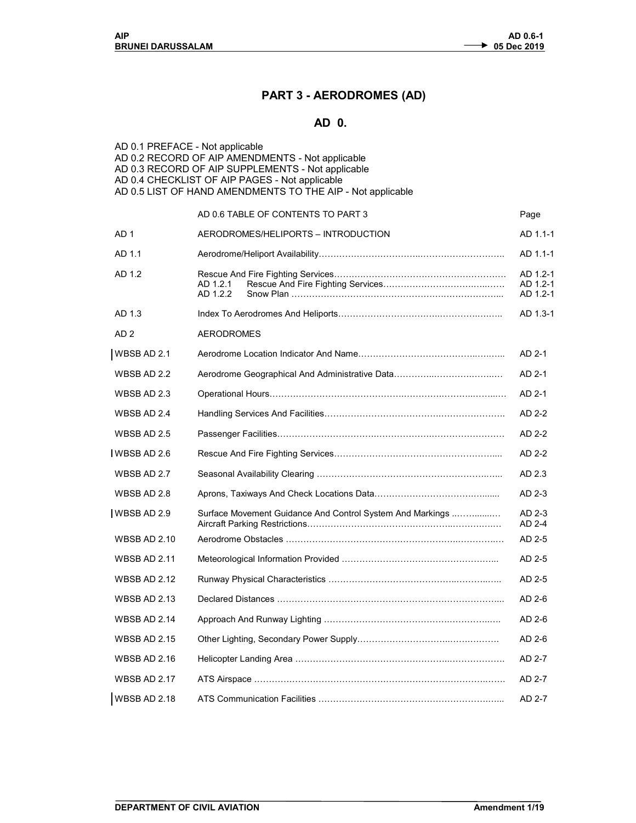## PART 3 - AERODROMES (AD)

## AD 0.

| AD 0.1 PREFACE - Not applicable | AD 0.2 RECORD OF AIP AMENDMENTS - Not applicable<br>AD 0.3 RECORD OF AIP SUPPLEMENTS - Not applicable<br>AD 0.4 CHECKLIST OF AIP PAGES - Not applicable<br>AD 0.5 LIST OF HAND AMENDMENTS TO THE AIP - Not applicable |                                  |
|---------------------------------|-----------------------------------------------------------------------------------------------------------------------------------------------------------------------------------------------------------------------|----------------------------------|
|                                 | AD 0.6 TABLE OF CONTENTS TO PART 3                                                                                                                                                                                    | Page                             |
| AD 1                            | AERODROMES/HELIPORTS - INTRODUCTION                                                                                                                                                                                   | AD 1.1-1                         |
| AD 1.1                          |                                                                                                                                                                                                                       | AD 1.1-1                         |
| AD 1.2                          | AD 1.2.1<br>AD 1.2.2                                                                                                                                                                                                  | AD 1.2-1<br>AD 1.2-1<br>AD 1.2-1 |
| AD 1.3                          |                                                                                                                                                                                                                       | AD 1.3-1                         |
| AD <sub>2</sub>                 | <b>AERODROMES</b>                                                                                                                                                                                                     |                                  |
| WBSB AD 2.1                     |                                                                                                                                                                                                                       | AD 2-1                           |
| WBSB AD 2.2                     |                                                                                                                                                                                                                       | AD 2-1                           |
| WBSB AD 2.3                     |                                                                                                                                                                                                                       | AD 2-1                           |
| WBSB AD 2.4                     |                                                                                                                                                                                                                       | AD 2-2                           |
| WBSB AD 2.5                     |                                                                                                                                                                                                                       | AD 2-2                           |
| <b>I</b> WBSB AD 2.6            |                                                                                                                                                                                                                       | AD 2-2                           |
| WBSB AD 2.7                     |                                                                                                                                                                                                                       | AD 2.3                           |
| WBSB AD 2.8                     |                                                                                                                                                                                                                       | AD 2-3                           |
| WBSB AD 2.9                     | Surface Movement Guidance And Control System And Markings                                                                                                                                                             | AD 2-3<br>AD 2-4                 |
| <b>WBSB AD 2.10</b>             |                                                                                                                                                                                                                       | AD 2-5                           |
| <b>WBSB AD 2.11</b>             |                                                                                                                                                                                                                       | AD 2-5                           |
| <b>WBSB AD 2.12</b>             |                                                                                                                                                                                                                       | AD 2-5                           |
| <b>WBSB AD 2.13</b>             |                                                                                                                                                                                                                       | AD 2-6                           |
| <b>WBSB AD 2.14</b>             |                                                                                                                                                                                                                       | AD 2-6                           |
| <b>WBSB AD 2.15</b>             |                                                                                                                                                                                                                       | AD 2-6                           |
| <b>WBSB AD 2.16</b>             |                                                                                                                                                                                                                       | AD 2-7                           |
| WBSB AD 2.17                    |                                                                                                                                                                                                                       | AD 2-7                           |
| <b>WBSB AD 2.18</b>             |                                                                                                                                                                                                                       | AD 2-7                           |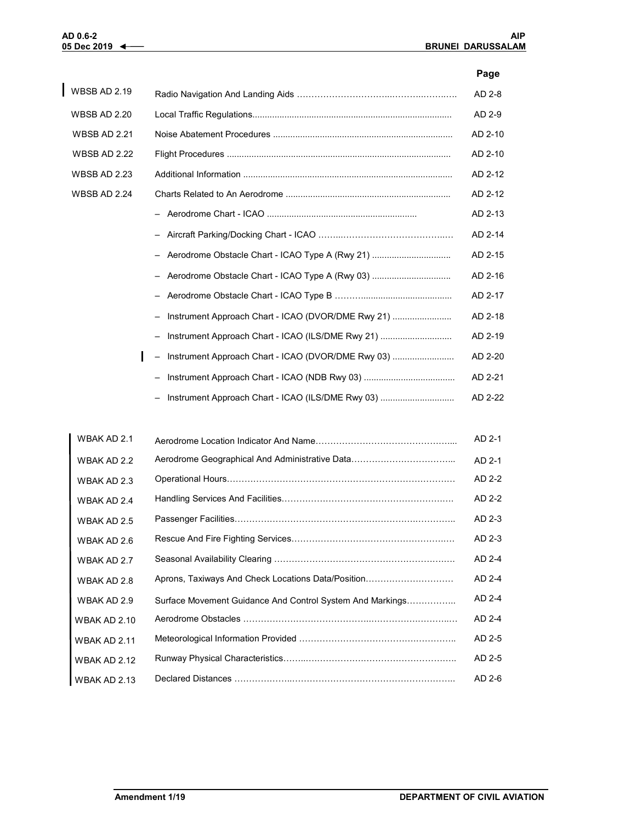## Page

| <b>WBSB AD 2.19</b> |                                                    | AD 2-8  |
|---------------------|----------------------------------------------------|---------|
| <b>WBSB AD 2.20</b> |                                                    | AD 2-9  |
| <b>WBSB AD 2.21</b> |                                                    | AD 2-10 |
| <b>WBSB AD 2.22</b> |                                                    | AD 2-10 |
| <b>WBSB AD 2.23</b> |                                                    | AD 2-12 |
| <b>WBSB AD 2.24</b> |                                                    | AD 2-12 |
|                     |                                                    | AD 2-13 |
|                     |                                                    | AD 2-14 |
|                     | - Aerodrome Obstacle Chart - ICAO Type A (Rwy 21)  | AD 2-15 |
|                     | - Aerodrome Obstacle Chart - ICAO Type A (Rwy 03)  | AD 2-16 |
|                     |                                                    | AD 2-17 |
|                     | Instrument Approach Chart - ICAO (DVOR/DME Rwy 21) | AD 2-18 |
|                     | Instrument Approach Chart - ICAO (ILS/DME Rwy 21)  | AD 2-19 |
|                     | Instrument Approach Chart - ICAO (DVOR/DME Rwy 03) | AD 2-20 |
|                     |                                                    | AD 2-21 |
|                     | Instrument Approach Chart - ICAO (ILS/DME Rwy 03)  | AD 2-22 |

| WBAK AD 2.1         |                                                           | AD 2-1 |
|---------------------|-----------------------------------------------------------|--------|
| WBAK AD 2.2         |                                                           | AD 2-1 |
| WBAK AD 2.3         |                                                           | AD 2-2 |
| WBAK AD 2.4         |                                                           | AD 2-2 |
| WBAK AD 2.5         |                                                           | AD 2-3 |
| WBAK AD 2.6         |                                                           | AD 2-3 |
| WBAK AD 2.7         |                                                           | AD 2-4 |
| WBAK AD 2.8         | Aprons, Taxiways And Check Locations Data/Position        | AD 2-4 |
| WBAK AD 2.9         | Surface Movement Guidance And Control System And Markings | AD 2-4 |
| <b>WBAK AD 2.10</b> |                                                           | AD 2-4 |
| <b>WBAK AD 2.11</b> |                                                           | AD 2-5 |
| WBAK AD 2.12        |                                                           | AD 2-5 |
| WBAK AD 2.13        |                                                           | AD 2-6 |
|                     |                                                           |        |